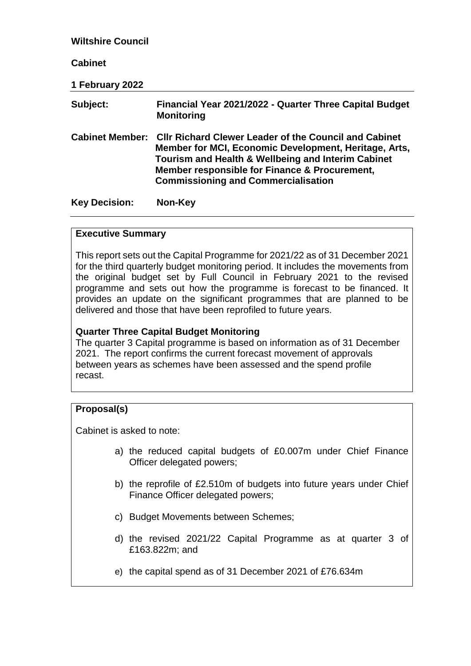| <b>Wiltshire Council</b> |                                                                                                                                                                                                                                                                            |
|--------------------------|----------------------------------------------------------------------------------------------------------------------------------------------------------------------------------------------------------------------------------------------------------------------------|
| <b>Cabinet</b>           |                                                                                                                                                                                                                                                                            |
| 1 February 2022          |                                                                                                                                                                                                                                                                            |
| Subject:                 | Financial Year 2021/2022 - Quarter Three Capital Budget<br><b>Monitoring</b>                                                                                                                                                                                               |
| <b>Cabinet Member:</b>   | <b>CIIr Richard Clewer Leader of the Council and Cabinet</b><br>Member for MCI, Economic Development, Heritage, Arts,<br>Tourism and Health & Wellbeing and Interim Cabinet<br>Member responsible for Finance & Procurement,<br><b>Commissioning and Commercialisation</b> |
| <b>Key Decision:</b>     | Non-Key                                                                                                                                                                                                                                                                    |

#### **Executive Summary**

This report sets out the Capital Programme for 2021/22 as of 31 December 2021 for the third quarterly budget monitoring period. It includes the movements from the original budget set by Full Council in February 2021 to the revised programme and sets out how the programme is forecast to be financed. It provides an update on the significant programmes that are planned to be delivered and those that have been reprofiled to future years.

#### **Quarter Three Capital Budget Monitoring**

The quarter 3 Capital programme is based on information as of 31 December 2021. The report confirms the current forecast movement of approvals between years as schemes have been assessed and the spend profile recast.

#### **Proposal(s)**

Cabinet is asked to note:

- a) the reduced capital budgets of £0.007m under Chief Finance Officer delegated powers;
- b) the reprofile of £2.510m of budgets into future years under Chief Finance Officer delegated powers;
- c) Budget Movements between Schemes;
- d) the revised 2021/22 Capital Programme as at quarter 3 of £163.822m; and
- e) the capital spend as of 31 December 2021 of £76.634m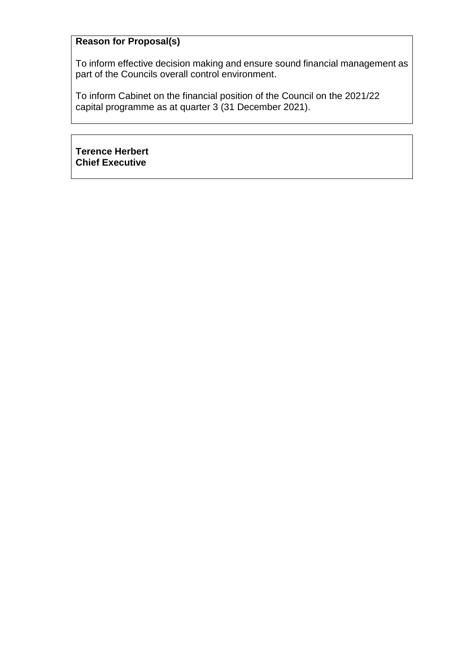# **Reason for Proposal(s)**

To inform effective decision making and ensure sound financial management as part of the Councils overall control environment.

To inform Cabinet on the financial position of the Council on the 2021/22 capital programme as at quarter 3 (31 December 2021).

**Terence Herbert Chief Executive**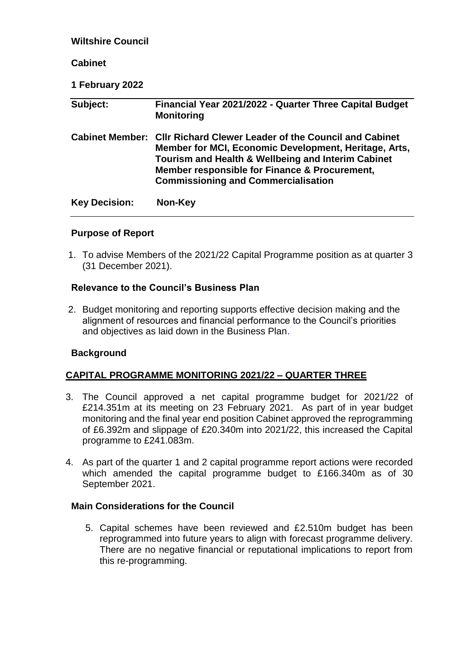| <b>Wiltshire Council</b> |                                                                                                                                                                                                                                                                            |
|--------------------------|----------------------------------------------------------------------------------------------------------------------------------------------------------------------------------------------------------------------------------------------------------------------------|
| <b>Cabinet</b>           |                                                                                                                                                                                                                                                                            |
| 1 February 2022          |                                                                                                                                                                                                                                                                            |
| Subject:                 | Financial Year 2021/2022 - Quarter Three Capital Budget<br><b>Monitoring</b>                                                                                                                                                                                               |
| <b>Cabinet Member:</b>   | <b>CIIr Richard Clewer Leader of the Council and Cabinet</b><br>Member for MCI, Economic Development, Heritage, Arts,<br>Tourism and Health & Wellbeing and Interim Cabinet<br>Member responsible for Finance & Procurement,<br><b>Commissioning and Commercialisation</b> |
| <b>Key Decision:</b>     | Non-Key                                                                                                                                                                                                                                                                    |

# **Purpose of Report**

1. To advise Members of the 2021/22 Capital Programme position as at quarter 3 (31 December 2021).

# **Relevance to the Council's Business Plan**

2. Budget monitoring and reporting supports effective decision making and the alignment of resources and financial performance to the Council's priorities and objectives as laid down in the Business Plan.

#### **Background**

#### **CAPITAL PROGRAMME MONITORING 2021/22 – QUARTER THREE**

- 3. The Council approved a net capital programme budget for 2021/22 of £214.351m at its meeting on 23 February 2021. As part of in year budget monitoring and the final year end position Cabinet approved the reprogramming of £6.392m and slippage of £20.340m into 2021/22, this increased the Capital programme to £241.083m.
- 4. As part of the quarter 1 and 2 capital programme report actions were recorded which amended the capital programme budget to £166.340m as of 30 September 2021.

#### **Main Considerations for the Council**

5. Capital schemes have been reviewed and £2.510m budget has been reprogrammed into future years to align with forecast programme delivery. There are no negative financial or reputational implications to report from this re-programming.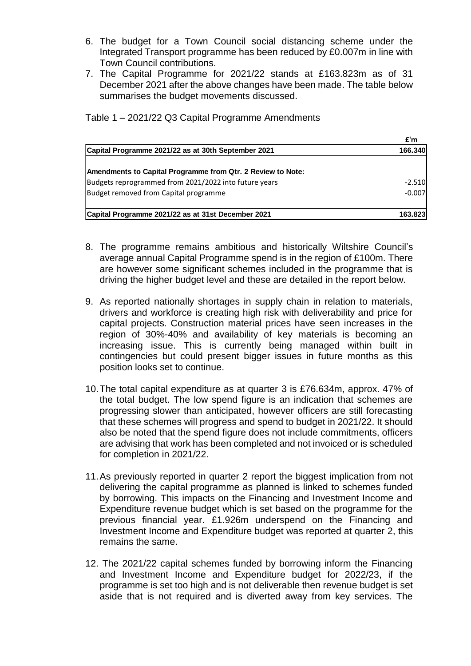- 6. The budget for a Town Council social distancing scheme under the Integrated Transport programme has been reduced by £0.007m in line with Town Council contributions.
- 7. The Capital Programme for 2021/22 stands at £163.823m as of 31 December 2021 after the above changes have been made. The table below summarises the budget movements discussed.

Table 1 – 2021/22 Q3 Capital Programme Amendments

|                                                             | f'm      |
|-------------------------------------------------------------|----------|
| Capital Programme 2021/22 as at 30th September 2021         | 166.340  |
| Amendments to Capital Programme from Qtr. 2 Review to Note: |          |
| Budgets reprogrammed from 2021/2022 into future years       | $-2.510$ |
| Budget removed from Capital programme                       | $-0.007$ |
| Capital Programme 2021/22 as at 31st December 2021          | 163.823  |

- 8. The programme remains ambitious and historically Wiltshire Council's average annual Capital Programme spend is in the region of £100m. There are however some significant schemes included in the programme that is driving the higher budget level and these are detailed in the report below.
- 9. As reported nationally shortages in supply chain in relation to materials, drivers and workforce is creating high risk with deliverability and price for capital projects. Construction material prices have seen increases in the region of 30%-40% and availability of key materials is becoming an increasing issue. This is currently being managed within built in contingencies but could present bigger issues in future months as this position looks set to continue.
- 10.The total capital expenditure as at quarter 3 is £76.634m, approx. 47% of the total budget. The low spend figure is an indication that schemes are progressing slower than anticipated, however officers are still forecasting that these schemes will progress and spend to budget in 2021/22. It should also be noted that the spend figure does not include commitments, officers are advising that work has been completed and not invoiced or is scheduled for completion in 2021/22.
- 11.As previously reported in quarter 2 report the biggest implication from not delivering the capital programme as planned is linked to schemes funded by borrowing. This impacts on the Financing and Investment Income and Expenditure revenue budget which is set based on the programme for the previous financial year. £1.926m underspend on the Financing and Investment Income and Expenditure budget was reported at quarter 2, this remains the same.
- 12. The 2021/22 capital schemes funded by borrowing inform the Financing and Investment Income and Expenditure budget for 2022/23, if the programme is set too high and is not deliverable then revenue budget is set aside that is not required and is diverted away from key services. The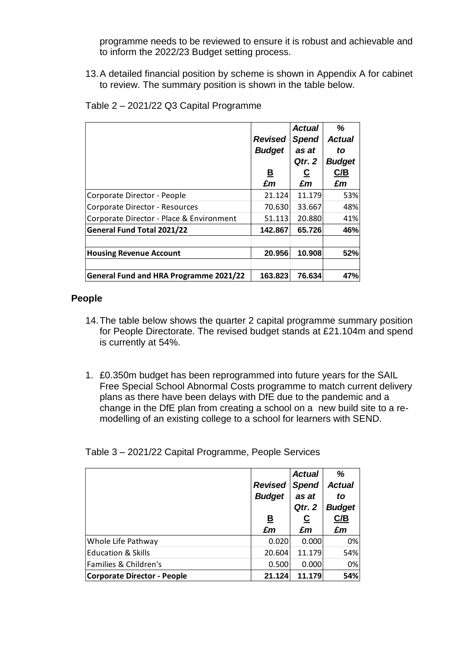programme needs to be reviewed to ensure it is robust and achievable and to inform the 2022/23 Budget setting process.

13.A detailed financial position by scheme is shown in Appendix A for cabinet to review. The summary position is shown in the table below.

|                                               | <b>Revised</b><br><b>Budget</b><br><u>B</u><br>£m | <b>Actual</b><br><b>Spend</b><br>as at<br>Qtr. 2<br><u>ତ</u><br>£m | ℅<br><b>Actual</b><br>to<br><b>Budget</b><br>C/B<br>£m |
|-----------------------------------------------|---------------------------------------------------|--------------------------------------------------------------------|--------------------------------------------------------|
| Corporate Director - People                   | 21.124                                            | 11.179                                                             | 53%                                                    |
| Corporate Director - Resources                | 70.630                                            | 33.667                                                             | 48%                                                    |
| Corporate Director - Place & Environment      | 51.113                                            | 20.880                                                             | 41%                                                    |
| <b>General Fund Total 2021/22</b>             | 142.867                                           | 65.726                                                             | 46%                                                    |
| <b>Housing Revenue Account</b>                | 20.956                                            | 10.908                                                             | 52%                                                    |
|                                               |                                                   |                                                                    |                                                        |
| <b>General Fund and HRA Programme 2021/22</b> | 163.823                                           | 76.634                                                             | 47%                                                    |

Table 2 – 2021/22 Q3 Capital Programme

# **People**

- 14.The table below shows the quarter 2 capital programme summary position for People Directorate. The revised budget stands at £21.104m and spend is currently at 54%.
- 1. £0.350m budget has been reprogrammed into future years for the SAIL Free Special School Abnormal Costs programme to match current delivery plans as there have been delays with DfE due to the pandemic and a change in the DfE plan from creating a school on a new build site to a remodelling of an existing college to a school for learners with SEND.

Table 3 – 2021/22 Capital Programme, People Services

|                                    | <b>Revised</b><br><b>Budget</b><br><u>B</u> | <b>Actual</b><br><b>Spend</b><br>as at<br>Qtr. 2<br><u>ତ</u> | %<br><b>Actual</b><br>to<br><b>Budget</b><br>C/B |
|------------------------------------|---------------------------------------------|--------------------------------------------------------------|--------------------------------------------------|
|                                    | £m                                          | £m                                                           | £m                                               |
| Whole Life Pathway                 | 0.020                                       | 0.000                                                        | 0%                                               |
| <b>Education &amp; Skills</b>      | 20.604                                      | 11.179                                                       | 54%                                              |
| Families & Children's              | 0.500                                       | 0.000                                                        | 0%                                               |
| <b>Corporate Director - People</b> | 21.124                                      | 11.179                                                       | 54%                                              |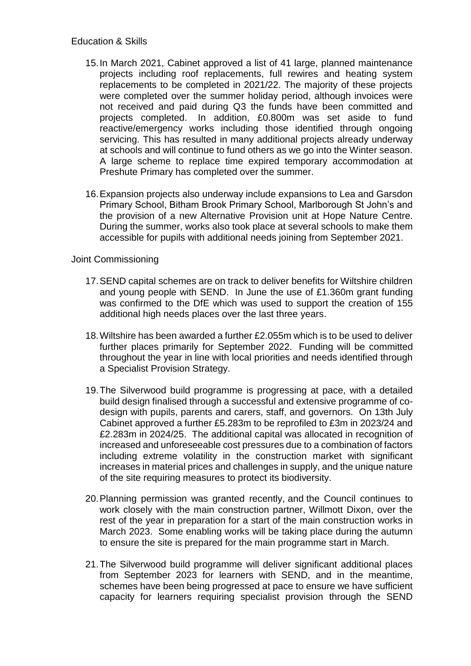- 15.In March 2021, Cabinet approved a list of 41 large, planned maintenance projects including roof replacements, full rewires and heating system replacements to be completed in 2021/22. The majority of these projects were completed over the summer holiday period, although invoices were not received and paid during Q3 the funds have been committed and projects completed. In addition, £0.800m was set aside to fund reactive/emergency works including those identified through ongoing servicing. This has resulted in many additional projects already underway at schools and will continue to fund others as we go into the Winter season. A large scheme to replace time expired temporary accommodation at Preshute Primary has completed over the summer.
- 16.Expansion projects also underway include expansions to Lea and Garsdon Primary School, Bitham Brook Primary School, Marlborough St John's and the provision of a new Alternative Provision unit at Hope Nature Centre. During the summer, works also took place at several schools to make them accessible for pupils with additional needs joining from September 2021.

# Joint Commissioning

- 17.SEND capital schemes are on track to deliver benefits for Wiltshire children and young people with SEND. In June the use of £1.360m grant funding was confirmed to the DfE which was used to support the creation of 155 additional high needs places over the last three years.
- 18.Wiltshire has been awarded a further £2.055m which is to be used to deliver further places primarily for September 2022. Funding will be committed throughout the year in line with local priorities and needs identified through a Specialist Provision Strategy.
- 19.The Silverwood build programme is progressing at pace, with a detailed build design finalised through a successful and extensive programme of codesign with pupils, parents and carers, staff, and governors. On 13th July Cabinet approved a further £5.283m to be reprofiled to £3m in 2023/24 and £2.283m in 2024/25. The additional capital was allocated in recognition of increased and unforeseeable cost pressures due to a combination of factors including extreme volatility in the construction market with significant increases in material prices and challenges in supply, and the unique nature of the site requiring measures to protect its biodiversity.
- 20.Planning permission was granted recently, and the Council continues to work closely with the main construction partner, Willmott Dixon, over the rest of the year in preparation for a start of the main construction works in March 2023. Some enabling works will be taking place during the autumn to ensure the site is prepared for the main programme start in March.
- 21.The Silverwood build programme will deliver significant additional places from September 2023 for learners with SEND, and in the meantime, schemes have been being progressed at pace to ensure we have sufficient capacity for learners requiring specialist provision through the SEND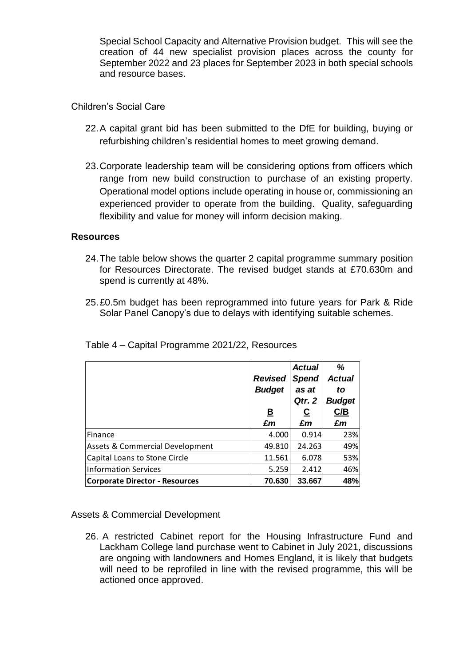Special School Capacity and Alternative Provision budget. This will see the creation of 44 new specialist provision places across the county for September 2022 and 23 places for September 2023 in both special schools and resource bases.

Children's Social Care

- 22.A capital grant bid has been submitted to the DfE for building, buying or refurbishing children's residential homes to meet growing demand.
- 23.Corporate leadership team will be considering options from officers which range from new build construction to purchase of an existing property. Operational model options include operating in house or, commissioning an experienced provider to operate from the building. Quality, safeguarding flexibility and value for money will inform decision making.

# **Resources**

- 24.The table below shows the quarter 2 capital programme summary position for Resources Directorate. The revised budget stands at £70.630m and spend is currently at 48%.
- 25.£0.5m budget has been reprogrammed into future years for Park & Ride Solar Panel Canopy's due to delays with identifying suitable schemes.

|                                            | <b>Revised</b><br><b>Budget</b> | <b>Actual</b><br><b>Spend</b><br>as at<br>Qtr. 2 | %<br><b>Actual</b><br>to<br><b>Budget</b> |
|--------------------------------------------|---------------------------------|--------------------------------------------------|-------------------------------------------|
|                                            | <u>B</u>                        | $\overline{c}$                                   | C/B                                       |
|                                            | £m                              | £m                                               | £m                                        |
| Finance                                    | 4.000                           | 0.914                                            | 23%                                       |
| <b>Assets &amp; Commercial Development</b> | 49.810                          | 24.263                                           | 49%                                       |
| Capital Loans to Stone Circle              | 11.561                          | 6.078                                            | 53%                                       |
| Information Services                       | 5.259                           | 2.412                                            | 46%                                       |
| <b>Corporate Director - Resources</b>      | 70.630                          | 33.667                                           | 48%                                       |

Table 4 – Capital Programme 2021/22, Resources

Assets & Commercial Development

26. A restricted Cabinet report for the Housing Infrastructure Fund and Lackham College land purchase went to Cabinet in July 2021, discussions are ongoing with landowners and Homes England, it is likely that budgets will need to be reprofiled in line with the revised programme, this will be actioned once approved.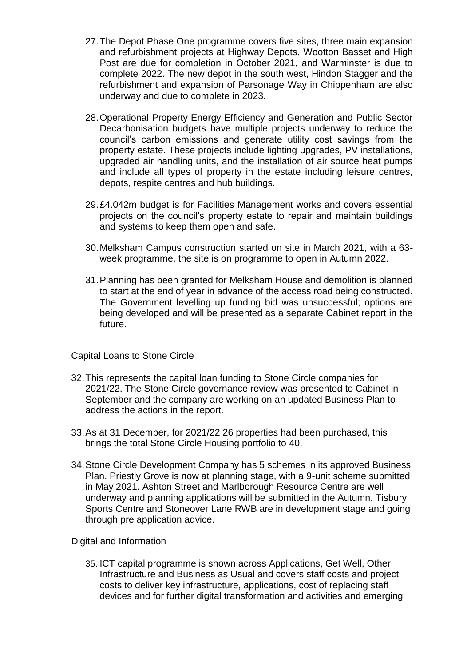- 27.The Depot Phase One programme covers five sites, three main expansion and refurbishment projects at Highway Depots, Wootton Basset and High Post are due for completion in October 2021, and Warminster is due to complete 2022. The new depot in the south west, Hindon Stagger and the refurbishment and expansion of Parsonage Way in Chippenham are also underway and due to complete in 2023.
- 28.Operational Property Energy Efficiency and Generation and Public Sector Decarbonisation budgets have multiple projects underway to reduce the council's carbon emissions and generate utility cost savings from the property estate. These projects include lighting upgrades, PV installations, upgraded air handling units, and the installation of air source heat pumps and include all types of property in the estate including leisure centres, depots, respite centres and hub buildings.
- 29.£4.042m budget is for Facilities Management works and covers essential projects on the council's property estate to repair and maintain buildings and systems to keep them open and safe.
- 30.Melksham Campus construction started on site in March 2021, with a 63 week programme, the site is on programme to open in Autumn 2022.
- 31.Planning has been granted for Melksham House and demolition is planned to start at the end of year in advance of the access road being constructed. The Government levelling up funding bid was unsuccessful; options are being developed and will be presented as a separate Cabinet report in the future.

#### Capital Loans to Stone Circle

- 32.This represents the capital loan funding to Stone Circle companies for 2021/22. The Stone Circle governance review was presented to Cabinet in September and the company are working on an updated Business Plan to address the actions in the report.
- 33.As at 31 December, for 2021/22 26 properties had been purchased, this brings the total Stone Circle Housing portfolio to 40.
- 34.Stone Circle Development Company has 5 schemes in its approved Business Plan. Priestly Grove is now at planning stage, with a 9-unit scheme submitted in May 2021. Ashton Street and Marlborough Resource Centre are well underway and planning applications will be submitted in the Autumn. Tisbury Sports Centre and Stoneover Lane RWB are in development stage and going through pre application advice.

#### Digital and Information

35. ICT capital programme is shown across Applications, Get Well, Other Infrastructure and Business as Usual and covers staff costs and project costs to deliver key infrastructure, applications, cost of replacing staff devices and for further digital transformation and activities and emerging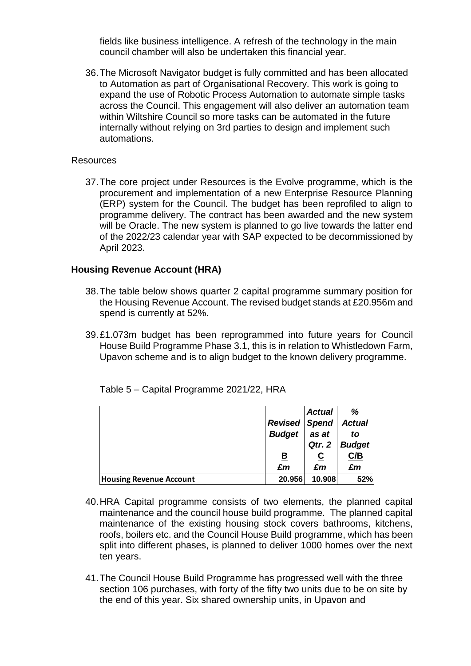fields like business intelligence. A refresh of the technology in the main council chamber will also be undertaken this financial year.

36.The Microsoft Navigator budget is fully committed and has been allocated to Automation as part of Organisational Recovery. This work is going to expand the use of Robotic Process Automation to automate simple tasks across the Council. This engagement will also deliver an automation team within Wiltshire Council so more tasks can be automated in the future internally without relying on 3rd parties to design and implement such automations.

#### **Resources**

37.The core project under Resources is the Evolve programme, which is the procurement and implementation of a new Enterprise Resource Planning (ERP) system for the Council. The budget has been reprofiled to align to programme delivery. The contract has been awarded and the new system will be Oracle. The new system is planned to go live towards the latter end of the 2022/23 calendar year with SAP expected to be decommissioned by April 2023.

#### **Housing Revenue Account (HRA)**

- 38.The table below shows quarter 2 capital programme summary position for the Housing Revenue Account. The revised budget stands at £20.956m and spend is currently at 52%.
- 39.£1.073m budget has been reprogrammed into future years for Council House Build Programme Phase 3.1, this is in relation to Whistledown Farm, Upavon scheme and is to align budget to the known delivery programme.

|                                |                      | <b>Actual</b> | %             |
|--------------------------------|----------------------|---------------|---------------|
|                                | <b>Revised Spend</b> |               | <b>Actual</b> |
|                                | <b>Budget</b>        | as at         | to            |
|                                |                      | Qtr. 2        | <b>Budget</b> |
|                                | <u>B</u>             |               | C/B           |
|                                | £m                   | £m            | £m            |
| <b>Housing Revenue Account</b> | 20.956               | 10.908        | 52%           |

Table 5 – Capital Programme 2021/22, HRA

- 40.HRA Capital programme consists of two elements, the planned capital maintenance and the council house build programme. The planned capital maintenance of the existing housing stock covers bathrooms, kitchens, roofs, boilers etc. and the Council House Build programme, which has been split into different phases, is planned to deliver 1000 homes over the next ten years.
- 41.The Council House Build Programme has progressed well with the three section 106 purchases, with forty of the fifty two units due to be on site by the end of this year. Six shared ownership units, in Upavon and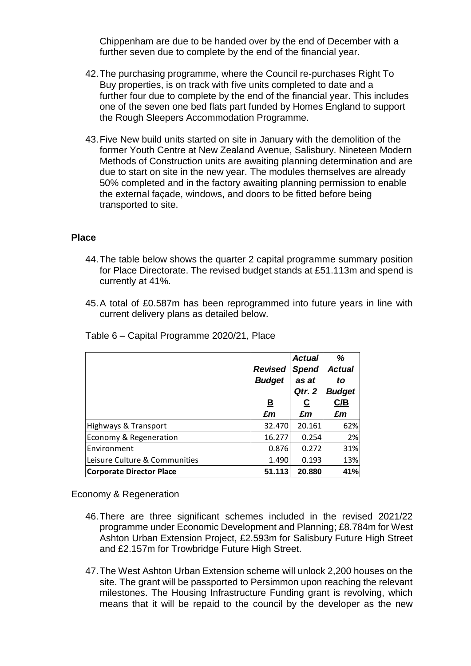Chippenham are due to be handed over by the end of December with a further seven due to complete by the end of the financial year.

- 42.The purchasing programme, where the Council re-purchases Right To Buy properties, is on track with five units completed to date and a further four due to complete by the end of the financial year. This includes one of the seven one bed flats part funded by Homes England to support the Rough Sleepers Accommodation Programme.
- 43.Five New build units started on site in January with the demolition of the former Youth Centre at New Zealand Avenue, Salisbury. Nineteen Modern Methods of Construction units are awaiting planning determination and are due to start on site in the new year. The modules themselves are already 50% completed and in the factory awaiting planning permission to enable the external façade, windows, and doors to be fitted before being transported to site.

#### **Place**

- 44.The table below shows the quarter 2 capital programme summary position for Place Directorate. The revised budget stands at £51.113m and spend is currently at 41%.
- 45.A total of £0.587m has been reprogrammed into future years in line with current delivery plans as detailed below.

|                                 | <b>Revised</b><br><b>Budget</b><br><u>B</u><br>£m | <b>Actual</b><br><b>Spend</b><br>as at<br>Qtr. 2<br><u>ତ</u><br>£m | %<br><b>Actual</b><br>to<br><b>Budget</b><br>C/B<br>£m |
|---------------------------------|---------------------------------------------------|--------------------------------------------------------------------|--------------------------------------------------------|
| Highways & Transport            | 32.470                                            | 20.161                                                             | 62%                                                    |
| Economy & Regeneration          | 16.277                                            | 0.254                                                              | 2%                                                     |
| Environment                     | 0.876                                             | 0.272                                                              | 31%                                                    |
| Leisure Culture & Communities   | 1.490                                             | 0.193                                                              | 13%                                                    |
| <b>Corporate Director Place</b> | 51.113                                            | 20.880                                                             | 41%                                                    |

Table 6 – Capital Programme 2020/21, Place

Economy & Regeneration

- 46.There are three significant schemes included in the revised 2021/22 programme under Economic Development and Planning; £8.784m for West Ashton Urban Extension Project, £2.593m for Salisbury Future High Street and £2.157m for Trowbridge Future High Street.
- 47.The West Ashton Urban Extension scheme will unlock 2,200 houses on the site. The grant will be passported to Persimmon upon reaching the relevant milestones. The Housing Infrastructure Funding grant is revolving, which means that it will be repaid to the council by the developer as the new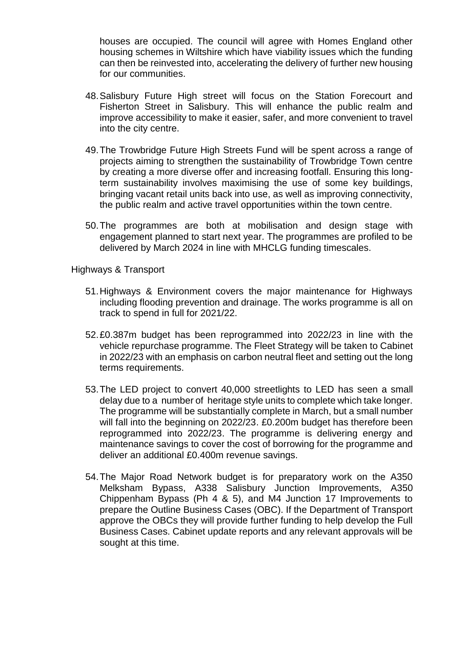houses are occupied. The council will agree with Homes England other housing schemes in Wiltshire which have viability issues which the funding can then be reinvested into, accelerating the delivery of further new housing for our communities.

- 48.Salisbury Future High street will focus on the Station Forecourt and Fisherton Street in Salisbury. This will enhance the public realm and improve accessibility to make it easier, safer, and more convenient to travel into the city centre.
- 49.The Trowbridge Future High Streets Fund will be spent across a range of projects aiming to strengthen the sustainability of Trowbridge Town centre by creating a more diverse offer and increasing footfall. Ensuring this longterm sustainability involves maximising the use of some key buildings, bringing vacant retail units back into use, as well as improving connectivity, the public realm and active travel opportunities within the town centre.
- 50.The programmes are both at mobilisation and design stage with engagement planned to start next year. The programmes are profiled to be delivered by March 2024 in line with MHCLG funding timescales.

Highways & Transport

- 51.Highways & Environment covers the major maintenance for Highways including flooding prevention and drainage. The works programme is all on track to spend in full for 2021/22.
- 52.£0.387m budget has been reprogrammed into 2022/23 in line with the vehicle repurchase programme. The Fleet Strategy will be taken to Cabinet in 2022/23 with an emphasis on carbon neutral fleet and setting out the long terms requirements.
- 53.The LED project to convert 40,000 streetlights to LED has seen a small delay due to a number of heritage style units to complete which take longer. The programme will be substantially complete in March, but a small number will fall into the beginning on 2022/23. £0.200m budget has therefore been reprogrammed into 2022/23. The programme is delivering energy and maintenance savings to cover the cost of borrowing for the programme and deliver an additional £0.400m revenue savings.
- 54.The Major Road Network budget is for preparatory work on the A350 Melksham Bypass, A338 Salisbury Junction Improvements, A350 Chippenham Bypass (Ph 4 & 5), and M4 Junction 17 Improvements to prepare the Outline Business Cases (OBC). If the Department of Transport approve the OBCs they will provide further funding to help develop the Full Business Cases. Cabinet update reports and any relevant approvals will be sought at this time.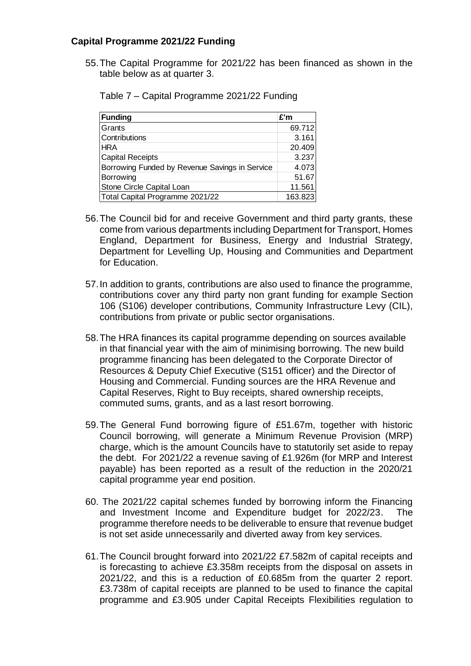#### **Capital Programme 2021/22 Funding**

55.The Capital Programme for 2021/22 has been financed as shown in the table below as at quarter 3.

| <b>Funding</b>                                 | £'m     |
|------------------------------------------------|---------|
| Grants                                         | 69.712  |
| Contributions                                  | 3.161   |
| <b>HRA</b>                                     | 20.409  |
| <b>Capital Receipts</b>                        | 3.237   |
| Borrowing Funded by Revenue Savings in Service | 4.073   |
| Borrowing                                      | 51.67   |
| Stone Circle Capital Loan                      | 11.561  |
| Total Capital Programme 2021/22                | 163.823 |

Table 7 – Capital Programme 2021/22 Funding

- 56.The Council bid for and receive Government and third party grants, these come from various departments including Department for Transport, Homes England, Department for Business, Energy and Industrial Strategy, Department for Levelling Up, Housing and Communities and Department for Education.
- 57.In addition to grants, contributions are also used to finance the programme, contributions cover any third party non grant funding for example Section 106 (S106) developer contributions, Community Infrastructure Levy (CIL), contributions from private or public sector organisations.
- 58.The HRA finances its capital programme depending on sources available in that financial year with the aim of minimising borrowing. The new build programme financing has been delegated to the Corporate Director of Resources & Deputy Chief Executive (S151 officer) and the Director of Housing and Commercial. Funding sources are the HRA Revenue and Capital Reserves, Right to Buy receipts, shared ownership receipts, commuted sums, grants, and as a last resort borrowing.
- 59.The General Fund borrowing figure of £51.67m, together with historic Council borrowing, will generate a Minimum Revenue Provision (MRP) charge, which is the amount Councils have to statutorily set aside to repay the debt. For 2021/22 a revenue saving of £1.926m (for MRP and Interest payable) has been reported as a result of the reduction in the 2020/21 capital programme year end position.
- 60. The 2021/22 capital schemes funded by borrowing inform the Financing and Investment Income and Expenditure budget for 2022/23. The programme therefore needs to be deliverable to ensure that revenue budget is not set aside unnecessarily and diverted away from key services.
- 61.The Council brought forward into 2021/22 £7.582m of capital receipts and is forecasting to achieve £3.358m receipts from the disposal on assets in 2021/22, and this is a reduction of £0.685m from the quarter 2 report. £3.738m of capital receipts are planned to be used to finance the capital programme and £3.905 under Capital Receipts Flexibilities regulation to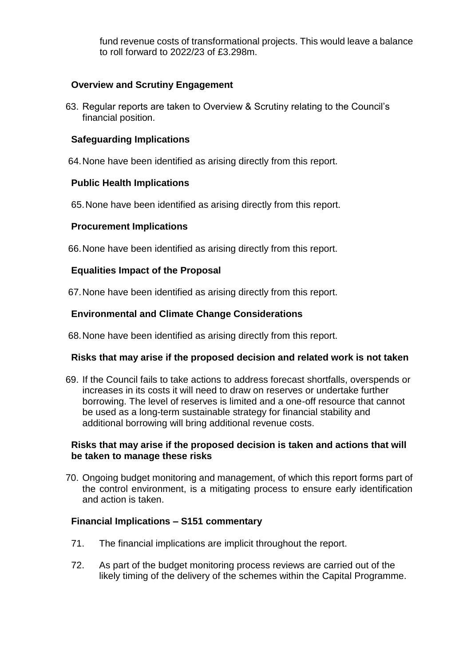fund revenue costs of transformational projects. This would leave a balance to roll forward to 2022/23 of £3.298m.

#### **Overview and Scrutiny Engagement**

63. Regular reports are taken to Overview & Scrutiny relating to the Council's financial position.

### **Safeguarding Implications**

64.None have been identified as arising directly from this report.

#### **Public Health Implications**

65.None have been identified as arising directly from this report.

#### **Procurement Implications**

66.None have been identified as arising directly from this report.

#### **Equalities Impact of the Proposal**

67.None have been identified as arising directly from this report.

# **Environmental and Climate Change Considerations**

68.None have been identified as arising directly from this report.

#### **Risks that may arise if the proposed decision and related work is not taken**

69. If the Council fails to take actions to address forecast shortfalls, overspends or increases in its costs it will need to draw on reserves or undertake further borrowing. The level of reserves is limited and a one-off resource that cannot be used as a long-term sustainable strategy for financial stability and additional borrowing will bring additional revenue costs.

#### **Risks that may arise if the proposed decision is taken and actions that will be taken to manage these risks**

70. Ongoing budget monitoring and management, of which this report forms part of the control environment, is a mitigating process to ensure early identification and action is taken.

#### **Financial Implications – S151 commentary**

- 71. The financial implications are implicit throughout the report.
- 72. As part of the budget monitoring process reviews are carried out of the likely timing of the delivery of the schemes within the Capital Programme.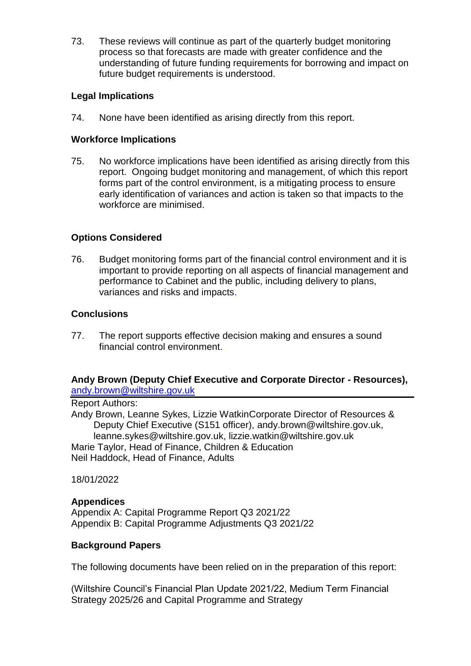73. These reviews will continue as part of the quarterly budget monitoring process so that forecasts are made with greater confidence and the understanding of future funding requirements for borrowing and impact on future budget requirements is understood.

# **Legal Implications**

74. None have been identified as arising directly from this report.

### **Workforce Implications**

75. No workforce implications have been identified as arising directly from this report. Ongoing budget monitoring and management, of which this report forms part of the control environment, is a mitigating process to ensure early identification of variances and action is taken so that impacts to the workforce are minimised.

# **Options Considered**

76. Budget monitoring forms part of the financial control environment and it is important to provide reporting on all aspects of financial management and performance to Cabinet and the public, including delivery to plans, variances and risks and impacts.

# **Conclusions**

77. The report supports effective decision making and ensures a sound financial control environment.

#### **Andy Brown (Deputy Chief Executive and Corporate Director - Resources),**  [andy.brown@wiltshire.gov.uk](mailto:andy.brown@wiltshire.gov.uk)

Report Authors: Andy Brown, Leanne Sykes, Lizzie WatkinCorporate Director of Resources & Deputy Chief Executive (S151 officer), andy.brown@wiltshire.gov.uk, leanne.sykes@wiltshire.gov.uk, lizzie.watkin@wiltshire.gov.uk Marie Taylor, Head of Finance, Children & Education Neil Haddock, Head of Finance, Adults

18/01/2022

#### **Appendices**

Appendix A: Capital Programme Report Q3 2021/22 Appendix B: Capital Programme Adjustments Q3 2021/22

#### **Background Papers**

The following documents have been relied on in the preparation of this report:

(Wiltshire Council's Financial Plan Update 2021/22, Medium Term Financial Strategy 2025/26 and Capital Programme and Strategy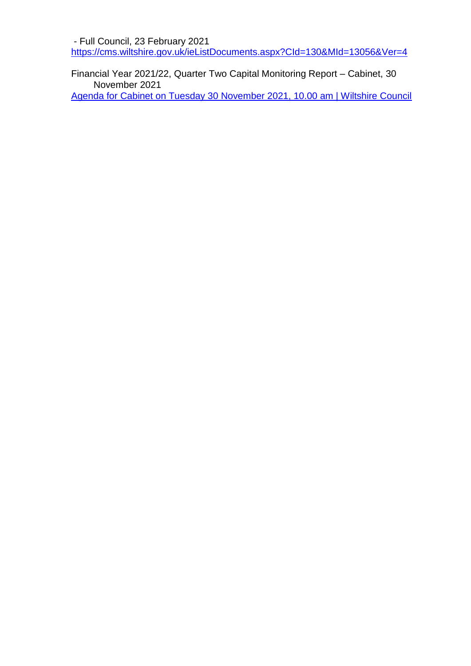- Full Council, 23 February 2021 <https://cms.wiltshire.gov.uk/ieListDocuments.aspx?CId=130&MId=13056&Ver=4>

Financial Year 2021/22, Quarter Two Capital Monitoring Report – Cabinet, 30 November 2021 [Agenda for Cabinet on Tuesday 30 November 2021, 10.00 am | Wiltshire Council](https://cms.wiltshire.gov.uk/ieListDocuments.aspx?CId=141&MId=13773&Ver=4)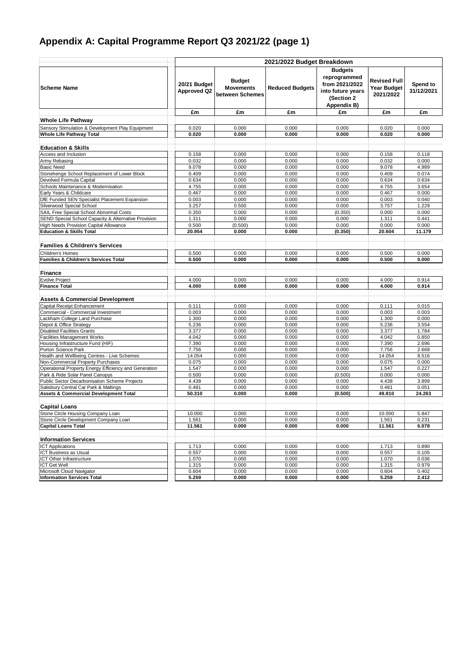# **Appendix A: Capital Programme Report Q3 2021/22 (page 1)**

|                                                                                          |                                    |                                                      | 2021/2022 Budget Breakdown |                                                                                                     |                                                        |                        |
|------------------------------------------------------------------------------------------|------------------------------------|------------------------------------------------------|----------------------------|-----------------------------------------------------------------------------------------------------|--------------------------------------------------------|------------------------|
| <b>Scheme Name</b>                                                                       | 20/21 Budget<br><b>Approved Q2</b> | <b>Budget</b><br><b>Movements</b><br>between Schemes | <b>Reduced Budgets</b>     | <b>Budgets</b><br>reprogrammed<br>from 2021/2022<br>into future years<br>(Section 2)<br>Appendix B) | <b>Revised Full</b><br><b>Year Budget</b><br>2021/2022 | Spend to<br>31/12/2021 |
|                                                                                          | £m                                 | £m                                                   | £m                         | £m                                                                                                  | £m                                                     | £m                     |
| <b>Whole Life Pathway</b>                                                                |                                    |                                                      |                            |                                                                                                     |                                                        |                        |
| Sensory Stimulation & Development Play Equipment                                         | 0.020                              | 0.000                                                | 0.000                      | 0.000                                                                                               | 0.020                                                  | 0.000                  |
| <b>Whole Life Pathway Total</b>                                                          | 0.020                              | 0.000                                                | 0.000                      | 0.000                                                                                               | 0.020                                                  | 0.000                  |
|                                                                                          |                                    |                                                      |                            |                                                                                                     |                                                        |                        |
| <b>Education &amp; Skills</b>                                                            |                                    |                                                      |                            |                                                                                                     |                                                        |                        |
| Access and Inclusion                                                                     | 0.158                              | 0.000                                                | 0.000                      | 0.000                                                                                               | 0.158                                                  | 0.118                  |
| Army Rebasing                                                                            | 0.032                              | 0.000                                                | 0.000                      | 0.000                                                                                               | 0.032                                                  | 0.000                  |
| <b>Basic Need</b>                                                                        | 9.078                              | 0.000                                                | 0.000                      | 0.000                                                                                               | 9.078                                                  | 4.989                  |
| Stonehenge School Replacement of Lower Block                                             | 0.409                              | 0.000                                                | 0.000                      | 0.000                                                                                               | 0.409                                                  | 0.074                  |
| Devolved Formula Capital                                                                 | 0.634                              | 0.000                                                | 0.000                      | 0.000                                                                                               | 0.634                                                  | 0.634                  |
| Schools Maintenance & Modernisation                                                      | 4.755                              | 0.000                                                | 0.000                      | 0.000                                                                                               | 4.755                                                  | 3.654                  |
| Early Years & Childcare                                                                  | 0.467                              | 0.000                                                | 0.000                      | 0.000                                                                                               | 0.467                                                  | 0.000                  |
| DfE Funded SEN Specialist Placement Expansion<br>Silverwood Special School               | 0.003                              | 0.000                                                | 0.000                      | 0.000<br>0.000                                                                                      | 0.003                                                  | 0.040<br>1.229         |
| SAIL Free Special School Abnormal Costs                                                  | 3.257<br>0.350                     | 0.500<br>0.000                                       | 0.000<br>0.000             | (0.350)                                                                                             | 3.757<br>0.000                                         | 0.000                  |
| SEND Special School Capacity & Alternative Provision                                     | 1.311                              | 0.000                                                | 0.000                      | 0.000                                                                                               | 1.311                                                  | 0.441                  |
| <b>High Needs Provision Capital Allowance</b>                                            | 0.500                              | (0.500)                                              | 0.000                      | 0.000                                                                                               | 0.000                                                  | 0.000                  |
| <b>Education &amp; Skills Total</b>                                                      | 20.954                             | 0.000                                                | 0.000                      | (0.350)                                                                                             | 20.604                                                 | 11.179                 |
| <b>Families &amp; Children's Services</b>                                                |                                    |                                                      |                            |                                                                                                     |                                                        |                        |
|                                                                                          |                                    |                                                      |                            |                                                                                                     |                                                        |                        |
| Children's Homes                                                                         | 0.500                              | 0.000                                                | 0.000                      | 0.000<br>0.000                                                                                      | 0.500                                                  | 0.000<br>0.000         |
| <b>Families &amp; Children's Services Total</b>                                          | 0.500                              | 0.000                                                | 0.000                      |                                                                                                     | 0.500                                                  |                        |
| <b>Finance</b>                                                                           |                                    |                                                      |                            |                                                                                                     |                                                        |                        |
| <b>Evolve Project</b>                                                                    | 4.000                              | 0.000                                                | 0.000                      | 0.000                                                                                               | 4.000                                                  | 0.914                  |
| <b>Finance Total</b>                                                                     | 4.000                              | 0.000                                                | 0.000                      | 0.000                                                                                               | 4.000                                                  | 0.914                  |
| <b>Assets &amp; Commercial Development</b>                                               |                                    |                                                      |                            |                                                                                                     |                                                        |                        |
| Capital Receipt Enhancement                                                              | 0.111                              | 0.000                                                | 0.000                      | 0.000                                                                                               | 0.111                                                  | 0.015                  |
| Commercial - Commercial Investment                                                       | 0.003                              | 0.000                                                | 0.000                      | 0.000                                                                                               | 0.003                                                  | 0.003                  |
| Lackham College Land Purchase                                                            | 1.300                              | 0.000                                                | 0.000                      | 0.000                                                                                               | 1.300                                                  | 0.000                  |
| Depot & Office Strategy                                                                  | 5.236                              | 0.000                                                | 0.000                      | 0.000                                                                                               | 5.236                                                  | 3.554                  |
| <b>Disabled Facilities Grants</b>                                                        | 3.377                              | 0.000                                                | 0.000                      | 0.000                                                                                               | 3.377                                                  | 1.784                  |
| <b>Facilities Management Works</b>                                                       | 4.042                              | 0.000                                                | 0.000                      | 0.000                                                                                               | 4.042                                                  | 0.850                  |
| Housing Infrastructure Fund (HIF)                                                        | 7.390                              | 0.000                                                | 0.000                      | 0.000                                                                                               | 7.390                                                  | 2.696                  |
| Porton Science Park                                                                      | 7.756                              | 0.000                                                | 0.000                      | 0.000                                                                                               | 7.756                                                  | 2.668                  |
| Health and Wellbeing Centres - Live Schemes                                              | 14.054                             | 0.000                                                | 0.000                      | 0.000                                                                                               | 14.054                                                 | 8.516                  |
| Non-Commercial Property Purchases                                                        | 0.075                              | 0.000                                                | 0.000                      | 0.000<br>0.000                                                                                      | 0.075                                                  | 0.000                  |
| Operational Property Energy Efficiency and Generation<br>Park & Ride Solar Panel Canopys | 1.547<br>0.500                     | 0.000<br>0.000                                       | 0.000<br>0.000             | (0.500)                                                                                             | 1.547<br>0.000                                         | 0.227<br>0.000         |
| Public Sector Decarbonisation Scheme Projects                                            | 4.438                              | 0.000                                                | 0.000                      | 0.000                                                                                               | 4.438                                                  | 3.899                  |
| Salisbury Central Car Park & Maltings                                                    | 0.481                              | 0.000                                                | 0.000                      | 0.000                                                                                               | 0.481                                                  | 0.051                  |
| <b>Assets &amp; Commercial Development Total</b>                                         | 50.310                             | 0.000                                                | 0.000                      | (0.500)                                                                                             | 49.810                                                 | 24.263                 |
|                                                                                          |                                    |                                                      |                            |                                                                                                     |                                                        |                        |
| <b>Capital Loans</b>                                                                     |                                    |                                                      |                            |                                                                                                     |                                                        |                        |
| Stone Circle Housing Company Loan                                                        | 10.000                             | 0.000                                                | 0.000                      | 0.000                                                                                               | 10.000                                                 | 5.847                  |
| Stone Circle Development Company Loan<br><b>Capital Loans Total</b>                      | 1.561<br>11.561                    | 0.000<br>0.000                                       | 0.000<br>0.000             | 0.000<br>0.000                                                                                      | 1.561<br>11.561                                        | 0.231<br>6.078         |
| <b>Information Services</b>                                                              |                                    |                                                      |                            |                                                                                                     |                                                        |                        |
| <b>ICT Applications</b>                                                                  | 1.713                              | 0.000                                                | 0.000                      | 0.000                                                                                               | 1.713                                                  | 0.890                  |
| <b>ICT Business as Usual</b>                                                             | 0.557                              | 0.000                                                | 0.000                      | 0.000                                                                                               | 0.557                                                  | 0.105                  |
| ICT Other Infrastructure                                                                 | 1.070                              | 0.000                                                | 0.000                      | 0.000                                                                                               | 1.070                                                  | 0.036                  |
| <b>ICT Get Well</b>                                                                      | 1.315                              | 0.000                                                | 0.000                      | 0.000                                                                                               | 1.315                                                  | 0.979                  |
| Microsoft Cloud Navigator                                                                | 0.604                              | 0.000                                                | 0.000                      | 0.000                                                                                               | 0.604                                                  | 0.402                  |
| <b>Information Services Total</b>                                                        | 5.259                              | 0.000                                                | 0.000                      | 0.000                                                                                               | 5.259                                                  | 2.412                  |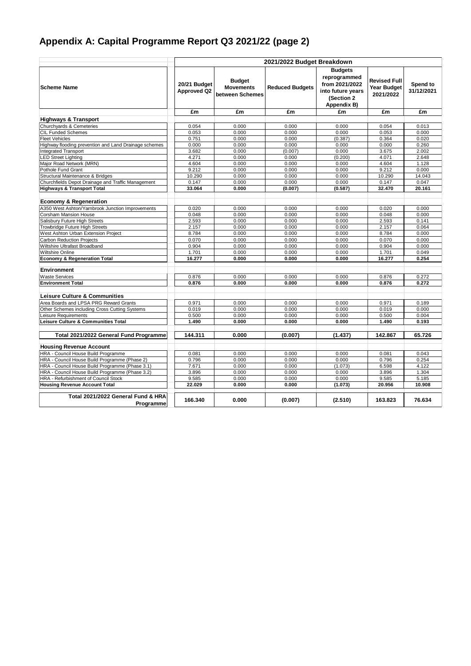# **Appendix A: Capital Programme Report Q3 2021/22 (page 2)**

|                                                       |                                    |                                                      | 2021/2022 Budget Breakdown |                                                                                                    |                                                 |                        |
|-------------------------------------------------------|------------------------------------|------------------------------------------------------|----------------------------|----------------------------------------------------------------------------------------------------|-------------------------------------------------|------------------------|
| <b>Scheme Name</b>                                    | 20/21 Budget<br><b>Approved Q2</b> | <b>Budget</b><br><b>Movements</b><br>between Schemes | <b>Reduced Budgets</b>     | <b>Budgets</b><br>reprogrammed<br>from 2021/2022<br>into future years<br>(Section 2<br>Appendix B) | Revised Full<br><b>Year Budget</b><br>2021/2022 | Spend to<br>31/12/2021 |
|                                                       | £m                                 | £m                                                   | £m                         | £m                                                                                                 | £m                                              | £m                     |
| <b>Highways &amp; Transport</b>                       |                                    |                                                      |                            |                                                                                                    |                                                 |                        |
| Churchyards & Cemeteries                              | 0.054                              | 0.000                                                | 0.000                      | 0.000                                                                                              | 0.054                                           | 0.013                  |
| <b>CIL Funded Schemes</b>                             | 0.053                              | 0.000                                                | 0.000                      | 0.000                                                                                              | 0.053                                           | 0.000                  |
| <b>Fleet Vehicles</b>                                 | 0.751                              | 0.000                                                | 0.000                      | (0.387)                                                                                            | 0.364                                           | 0.020                  |
| Highway flooding prevention and Land Drainage schemes | 0.000                              | 0.000                                                | 0.000                      | 0.000                                                                                              | 0.000                                           | 0.260                  |
| <b>Integrated Transport</b>                           | 3.682                              | 0.000                                                | (0.007)                    | 0.000                                                                                              | 3.675                                           | 2.002                  |
| <b>LED Street Lighting</b>                            | 4.271                              | 0.000                                                | 0.000                      | (0.200)                                                                                            | 4.071                                           | 2.648                  |
| Major Road Network (MRN)                              | 4.604                              | 0.000                                                | 0.000                      | 0.000                                                                                              | 4.604                                           | 1.128                  |
| Pothole Fund Grant                                    | 9.212                              | 0.000                                                | 0.000                      | 0.000                                                                                              | 9.212                                           | 0.000                  |
| Structural Maintenance & Bridges                      | 10.290                             | 0.000                                                | 0.000                      | 0.000                                                                                              | 10.290                                          | 14.043                 |
| Churchfields Depot Drainage and Traffic Management    | 0.147                              | 0.000                                                | 0.000                      | 0.000                                                                                              | 0.147                                           | 0.047                  |
| <b>Highways &amp; Transport Total</b>                 | 33.064                             | 0.000                                                | (0.007)                    | (0.587)                                                                                            | 32.470                                          | 20.161                 |
|                                                       |                                    |                                                      |                            |                                                                                                    |                                                 |                        |
| <b>Economy &amp; Regeneration</b>                     |                                    |                                                      |                            |                                                                                                    |                                                 |                        |
| A350 West Ashton/Yarnbrook Junction Improvements      | 0.020                              | 0.000                                                | 0.000                      | 0.000                                                                                              | 0.020                                           | 0.000                  |
| <b>Corsham Mansion House</b>                          | 0.048                              | 0.000                                                | 0.000                      | 0.000                                                                                              | 0.048                                           | 0.000                  |
| Salisbury Future High Streets                         | 2.593                              | 0.000                                                | 0.000                      | 0.000                                                                                              | 2.593                                           | 0.141                  |
| Trowbridge Future High Streets                        | 2.157                              | 0.000                                                | 0.000                      | 0.000                                                                                              | 2.157                                           | 0.064                  |
| West Ashton Urban Extension Project                   | 8.784                              | 0.000                                                | 0.000                      | 0.000                                                                                              | 8.784                                           | 0.000                  |
| <b>Carbon Reduction Projects</b>                      | 0.070                              | 0.000                                                | 0.000                      | 0.000                                                                                              | 0.070                                           | 0.000                  |
| Wiltshire Ultrafast Broadband                         | 0.904                              | 0.000                                                | 0.000                      | 0.000                                                                                              | 0.904                                           | 0.000                  |
| Wiltshire Online                                      | 1.701                              | 0.000                                                | 0.000                      | 0.000                                                                                              | 1.701                                           | 0.049                  |
| <b>Economy &amp; Regeneration Total</b>               | 16.277                             | 0.000                                                | 0.000                      | 0.000                                                                                              | 16.277                                          | 0.254                  |
| <b>Environment</b>                                    |                                    |                                                      |                            |                                                                                                    |                                                 |                        |
| <b>Waste Services</b>                                 | 0.876                              | 0.000                                                | 0.000                      | 0.000                                                                                              | 0.876                                           | 0.272                  |
| <b>Environment Total</b>                              | 0.876                              | 0.000                                                | 0.000                      | 0.000                                                                                              | 0.876                                           | 0.272                  |
|                                                       |                                    |                                                      |                            |                                                                                                    |                                                 |                        |
| <b>Leisure Culture &amp; Communities</b>              |                                    |                                                      |                            |                                                                                                    |                                                 |                        |
| Area Boards and LPSA PRG Reward Grants                | 0.971                              | 0.000                                                | 0.000                      | 0.000                                                                                              | 0.971                                           | 0.189                  |
| Other Schemes including Cross Cutting Systems         | 0.019                              | 0.000                                                | 0.000                      | 0.000                                                                                              | 0.019                                           | 0.000                  |
| Leisure Requirements                                  | 0.500                              | 0.000                                                | 0.000                      | 0.000                                                                                              | 0.500                                           | 0.004                  |
| Leisure Culture & Communities Total                   | 1.490                              | 0.000                                                | 0.000                      | 0.000                                                                                              | 1.490                                           | 0.193                  |
|                                                       |                                    |                                                      |                            |                                                                                                    |                                                 |                        |
| Total 2021/2022 General Fund Programme                | 144.311                            | 0.000                                                | (0.007)                    | (1.437)                                                                                            | 142.867                                         | 65.726                 |
| <b>Housing Revenue Account</b>                        |                                    |                                                      |                            |                                                                                                    |                                                 |                        |
| HRA - Council House Build Programme                   | 0.081                              | 0.000                                                | 0.000                      | 0.000                                                                                              | 0.081                                           | 0.043                  |
| HRA - Council House Build Programme (Phase 2)         | 0.796                              | 0.000                                                | 0.000                      | 0.000                                                                                              | 0.796                                           | 0.254                  |
| HRA - Council House Build Programme (Phase 3.1)       | 7.671                              | 0.000                                                | 0.000                      | (1.073)                                                                                            | 6.598                                           | 4.122                  |
| HRA - Council House Build Programme (Phase 3.2)       | 3.896                              | 0.000                                                | 0.000                      | 0.000                                                                                              | 3.896                                           | 1.304                  |
| HRA - Refurbishment of Council Stock                  | 9.585                              | 0.000                                                | 0.000                      | 0.000                                                                                              | 9.585                                           | 5.185                  |
| <b>Housing Revenue Account Total</b>                  | 22.029                             | 0.000                                                | 0.000                      | (1.073)                                                                                            | 20.956                                          | 10.908                 |
|                                                       |                                    |                                                      |                            |                                                                                                    |                                                 |                        |
| Total 2021/2022 General Fund & HRA<br>Programme       | 166.340                            | 0.000                                                | (0.007)                    | (2.510)                                                                                            | 163.823                                         | 76.634                 |